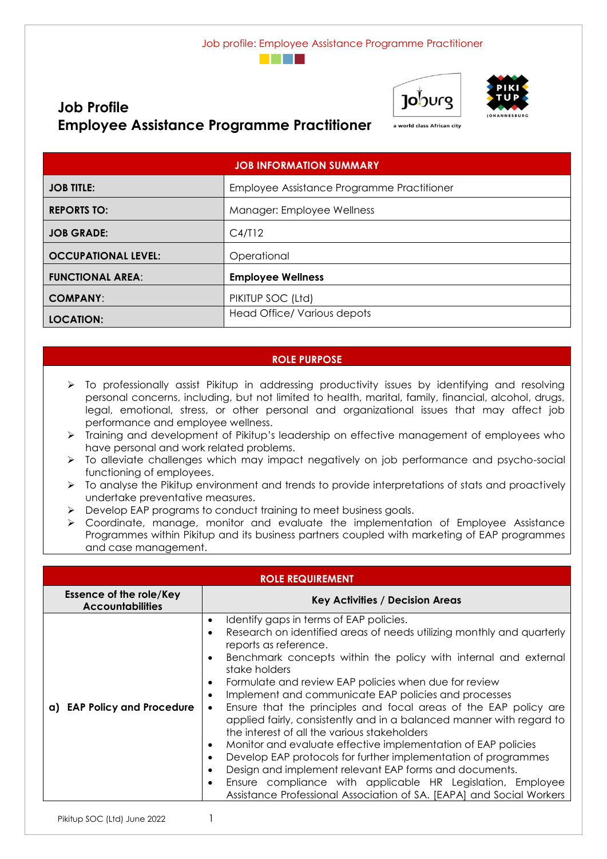



a world class African city



# **Job Profile Employee Assistance Programme Practitioner**

| <b>JOB INFORMATION SUMMARY</b> |                                            |  |
|--------------------------------|--------------------------------------------|--|
| <b>JOB TITLE:</b>              | Employee Assistance Programme Practitioner |  |
| <b>REPORTS TO:</b>             | Manager: Employee Wellness                 |  |
| <b>JOB GRADE:</b>              | C4/T12                                     |  |
| <b>OCCUPATIONAL LEVEL:</b>     | Operational                                |  |
| <b>FUNCTIONAL AREA:</b>        | <b>Employee Wellness</b>                   |  |
| <b>COMPANY:</b>                | PIKITUP SOC (Ltd)                          |  |
| <b>LOCATION:</b>               | Head Office/ Various depots                |  |

### **ROLE PURPOSE**

- ➢ To professionally assist Pikitup in addressing productivity issues by identifying and resolving personal concerns, including, but not limited to health, marital, family, financial, alcohol, drugs, legal, emotional, stress, or other personal and organizational issues that may affect job performance and employee wellness.
- ➢ Training and development of Pikitup's leadership on effective management of employees who have personal and work related problems.
- ➢ To alleviate challenges which may impact negatively on job performance and psycho-social functioning of employees.
- ➢ To analyse the Pikitup environment and trends to provide interpretations of stats and proactively undertake preventative measures.
- ➢ Develop EAP programs to conduct training to meet business goals.
- ➢ Coordinate, manage, monitor and evaluate the implementation of Employee Assistance Programmes within Pikitup and its business partners coupled with marketing of EAP programmes and case management.

| <b>ROLE REQUIREMENT</b>                                   |                                                                                                                                                                                                                                                                                                                                                                                                                                                                                                                                                                                                                                                                                                                                                                                                                                                                                            |  |  |
|-----------------------------------------------------------|--------------------------------------------------------------------------------------------------------------------------------------------------------------------------------------------------------------------------------------------------------------------------------------------------------------------------------------------------------------------------------------------------------------------------------------------------------------------------------------------------------------------------------------------------------------------------------------------------------------------------------------------------------------------------------------------------------------------------------------------------------------------------------------------------------------------------------------------------------------------------------------------|--|--|
| <b>Essence of the role/Key</b><br><b>Accountabilities</b> | <b>Key Activities / Decision Areas</b>                                                                                                                                                                                                                                                                                                                                                                                                                                                                                                                                                                                                                                                                                                                                                                                                                                                     |  |  |
| a) EAP Policy and Procedure                               | Identify gaps in terms of EAP policies.<br>Research on identified areas of needs utilizing monthly and quarterly<br>reports as reference.<br>Benchmark concepts within the policy with internal and external<br>stake holders<br>Formulate and review EAP policies when due for review<br>Implement and communicate EAP policies and processes<br>Ensure that the principles and focal areas of the EAP policy are<br>$\bullet$<br>applied fairly, consistently and in a balanced manner with regard to<br>the interest of all the various stakeholders<br>Monitor and evaluate effective implementation of EAP policies<br>Develop EAP protocols for further implementation of programmes<br>Design and implement relevant EAP forms and documents.<br>Ensure compliance with applicable HR Legislation, Employee<br>Assistance Professional Association of SA. [EAPA] and Social Workers |  |  |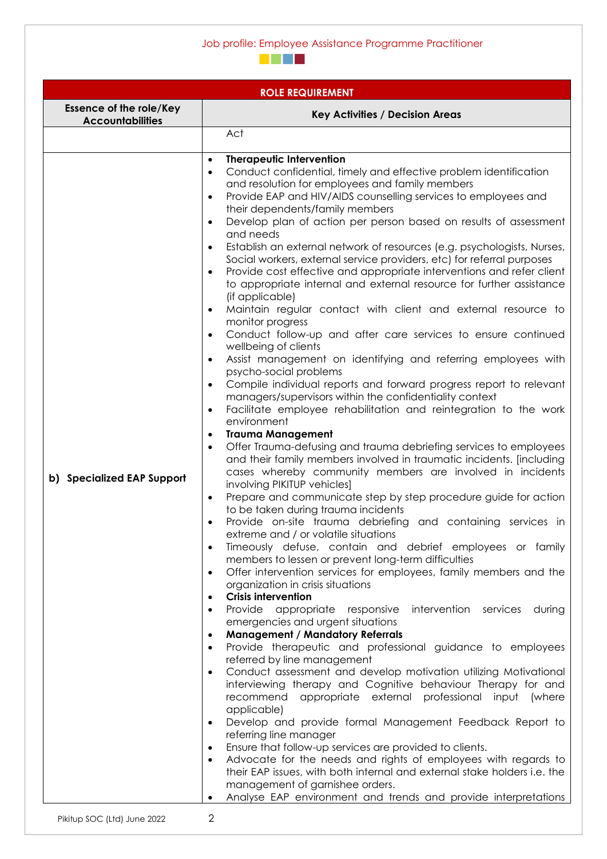#### Job profile: Employee Assistance Programme Practitioner



| <b>ROLE REQUIREMENT</b>                                   |                                                                                                                                                                                                                                                                                                                                                                                                                                                                                                                                                                                                                                                                                                                                                                                                                                                                                                                                                                                                                                                                                                                                                                                                                                                                                                                                                                                                                                                                                                                                                                                                                                                                                                                                                                                                                                                                                                                                                                                                                                                                                                                                                                                                                                                                                                                                                                                                                                                                                                                                                                                                                                                                                                                                                                                                                                                                                                                                          |  |  |
|-----------------------------------------------------------|------------------------------------------------------------------------------------------------------------------------------------------------------------------------------------------------------------------------------------------------------------------------------------------------------------------------------------------------------------------------------------------------------------------------------------------------------------------------------------------------------------------------------------------------------------------------------------------------------------------------------------------------------------------------------------------------------------------------------------------------------------------------------------------------------------------------------------------------------------------------------------------------------------------------------------------------------------------------------------------------------------------------------------------------------------------------------------------------------------------------------------------------------------------------------------------------------------------------------------------------------------------------------------------------------------------------------------------------------------------------------------------------------------------------------------------------------------------------------------------------------------------------------------------------------------------------------------------------------------------------------------------------------------------------------------------------------------------------------------------------------------------------------------------------------------------------------------------------------------------------------------------------------------------------------------------------------------------------------------------------------------------------------------------------------------------------------------------------------------------------------------------------------------------------------------------------------------------------------------------------------------------------------------------------------------------------------------------------------------------------------------------------------------------------------------------------------------------------------------------------------------------------------------------------------------------------------------------------------------------------------------------------------------------------------------------------------------------------------------------------------------------------------------------------------------------------------------------------------------------------------------------------------------------------------------------|--|--|
| <b>Essence of the role/Key</b><br><b>Accountabilities</b> | <b>Key Activities / Decision Areas</b>                                                                                                                                                                                                                                                                                                                                                                                                                                                                                                                                                                                                                                                                                                                                                                                                                                                                                                                                                                                                                                                                                                                                                                                                                                                                                                                                                                                                                                                                                                                                                                                                                                                                                                                                                                                                                                                                                                                                                                                                                                                                                                                                                                                                                                                                                                                                                                                                                                                                                                                                                                                                                                                                                                                                                                                                                                                                                                   |  |  |
|                                                           | Act                                                                                                                                                                                                                                                                                                                                                                                                                                                                                                                                                                                                                                                                                                                                                                                                                                                                                                                                                                                                                                                                                                                                                                                                                                                                                                                                                                                                                                                                                                                                                                                                                                                                                                                                                                                                                                                                                                                                                                                                                                                                                                                                                                                                                                                                                                                                                                                                                                                                                                                                                                                                                                                                                                                                                                                                                                                                                                                                      |  |  |
| b) Specialized EAP Support                                | <b>Therapeutic Intervention</b><br>$\bullet$<br>Conduct confidential, timely and effective problem identification<br>$\bullet$<br>and resolution for employees and family members<br>Provide EAP and HIV/AIDS counselling services to employees and<br>$\bullet$<br>their dependents/family members<br>Develop plan of action per person based on results of assessment<br>and needs<br>Establish an external network of resources (e.g. psychologists, Nurses,<br>Social workers, external service providers, etc) for referral purposes<br>Provide cost effective and appropriate interventions and refer client<br>to appropriate internal and external resource for further assistance<br>(if applicable)<br>Maintain regular contact with client and external resource to<br>$\bullet$<br>monitor progress<br>Conduct follow-up and after care services to ensure continued<br>$\bullet$<br>wellbeing of clients<br>Assist management on identifying and referring employees with<br>$\bullet$<br>psycho-social problems<br>Compile individual reports and forward progress report to relevant<br>$\bullet$<br>managers/supervisors within the confidentiality context<br>Facilitate employee rehabilitation and reintegration to the work<br>$\bullet$<br>environment<br><b>Trauma Management</b><br>$\bullet$<br>Offer Trauma-defusing and trauma debriefing services to employees<br>$\bullet$<br>and their family members involved in traumatic incidents. [including<br>cases whereby community members are involved in incidents<br>involving PIKITUP vehicles]<br>Prepare and communicate step by step procedure guide for action<br>$\bullet$<br>to be taken during trauma incidents<br>Provide on-site trauma debriefing and containing services in<br>extreme and / or volatile situations<br>Timeously defuse, contain and debrief employees or family<br>members to lessen or prevent long-term difficulties<br>Offer intervention services for employees, family members and the<br>$\bullet$<br>organization in crisis situations<br><b>Crisis intervention</b><br>$\bullet$<br>intervention services<br>Provide appropriate responsive<br>during<br>٠<br>emergencies and urgent situations<br><b>Management / Mandatory Referrals</b><br>$\bullet$<br>Provide therapeutic and professional guidance to employees<br>$\bullet$<br>referred by line management<br>Conduct assessment and develop motivation utilizing Motivational<br>$\bullet$<br>interviewing therapy and Cognitive behaviour Therapy for and<br>recommend appropriate external professional<br>input (where<br>applicable)<br>Develop and provide formal Management Feedback Report to<br>$\bullet$<br>referring line manager<br>Ensure that follow-up services are provided to clients.<br>$\bullet$<br>Advocate for the needs and rights of employees with regards to<br>their EAP issues, with both internal and external stake holders i.e. the |  |  |
|                                                           | management of garnishee orders.<br>Analyse EAP environment and trends and provide interpretations                                                                                                                                                                                                                                                                                                                                                                                                                                                                                                                                                                                                                                                                                                                                                                                                                                                                                                                                                                                                                                                                                                                                                                                                                                                                                                                                                                                                                                                                                                                                                                                                                                                                                                                                                                                                                                                                                                                                                                                                                                                                                                                                                                                                                                                                                                                                                                                                                                                                                                                                                                                                                                                                                                                                                                                                                                        |  |  |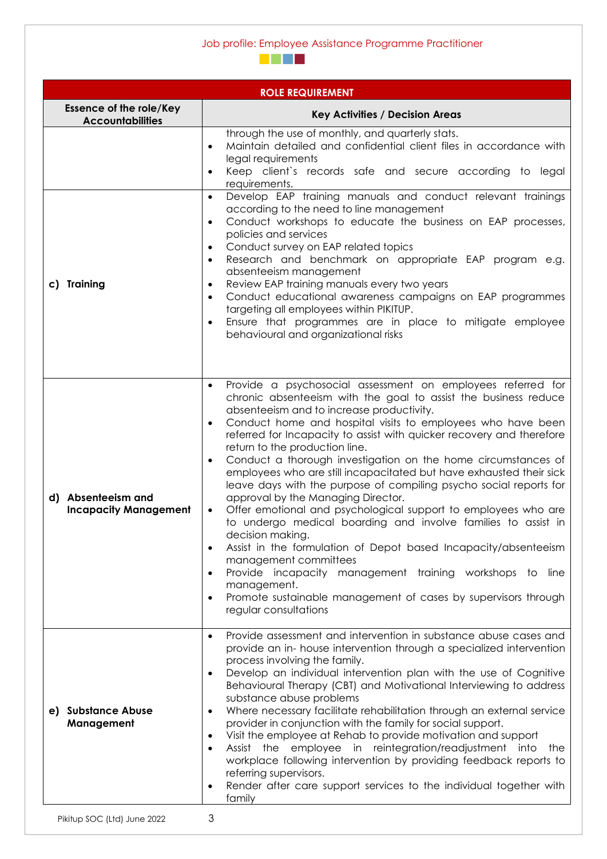#### Job profile: Employee Assistance Programme Practitioner



| <b>ROLE REQUIREMENT</b>                                   |                                                                                                                                                                                                                                                                                                                                                                                                                                                                                                                                                                                                                                                                                                                                                                                                                                                                                                                                                                                                                                                                                        |  |  |  |
|-----------------------------------------------------------|----------------------------------------------------------------------------------------------------------------------------------------------------------------------------------------------------------------------------------------------------------------------------------------------------------------------------------------------------------------------------------------------------------------------------------------------------------------------------------------------------------------------------------------------------------------------------------------------------------------------------------------------------------------------------------------------------------------------------------------------------------------------------------------------------------------------------------------------------------------------------------------------------------------------------------------------------------------------------------------------------------------------------------------------------------------------------------------|--|--|--|
| <b>Essence of the role/Key</b><br><b>Accountabilities</b> | <b>Key Activities / Decision Areas</b>                                                                                                                                                                                                                                                                                                                                                                                                                                                                                                                                                                                                                                                                                                                                                                                                                                                                                                                                                                                                                                                 |  |  |  |
| c) Training                                               | through the use of monthly, and quarterly stats.<br>Maintain detailed and confidential client files in accordance with<br>legal requirements<br>Keep client's records safe and secure according to legal<br>$\bullet$<br>requirements.<br>Develop EAP training manuals and conduct relevant trainings<br>$\bullet$<br>according to the need to line management<br>Conduct workshops to educate the business on EAP processes,<br>$\bullet$<br>policies and services<br>Conduct survey on EAP related topics<br>Research and benchmark on appropriate EAP program e.g.<br>$\bullet$<br>absenteeism management<br>Review EAP training manuals every two years<br>Conduct educational awareness campaigns on EAP programmes<br>targeting all employees within PIKITUP.<br>Ensure that programmes are in place to mitigate employee<br>behavioural and organizational risks                                                                                                                                                                                                                |  |  |  |
|                                                           |                                                                                                                                                                                                                                                                                                                                                                                                                                                                                                                                                                                                                                                                                                                                                                                                                                                                                                                                                                                                                                                                                        |  |  |  |
| d) Absenteeism and<br><b>Incapacity Management</b>        | Provide a psychosocial assessment on employees referred for<br>$\bullet$<br>chronic absenteeism with the goal to assist the business reduce<br>absenteeism and to increase productivity.<br>Conduct home and hospital visits to employees who have been<br>$\bullet$<br>referred for Incapacity to assist with quicker recovery and therefore<br>return to the production line.<br>Conduct a thorough investigation on the home circumstances of<br>$\bullet$<br>employees who are still incapacitated but have exhausted their sick<br>leave days with the purpose of compiling psycho social reports for<br>approval by the Managing Director.<br>Offer emotional and psychological support to employees who are<br>$\bullet$<br>to undergo medical boarding and involve families to assist in<br>decision making.<br>Assist in the formulation of Depot based Incapacity/absenteeism<br>management committees<br>Provide incapacity management training workshops to line<br>management.<br>Promote sustainable management of cases by supervisors through<br>regular consultations |  |  |  |
| e) Substance Abuse<br>Management                          | Provide assessment and intervention in substance abuse cases and<br>$\bullet$<br>provide an in- house intervention through a specialized intervention<br>process involving the family.<br>Develop an individual intervention plan with the use of Cognitive<br>$\bullet$<br>Behavioural Therapy (CBT) and Motivational Interviewing to address<br>substance abuse problems<br>Where necessary facilitate rehabilitation through an external service<br>$\bullet$<br>provider in conjunction with the family for social support.<br>Visit the employee at Rehab to provide motivation and support<br>Assist the employee in reintegration/readjustment into<br>the<br>$\bullet$<br>workplace following intervention by providing feedback reports to<br>referring supervisors.<br>Render after care support services to the individual together with<br>family                                                                                                                                                                                                                          |  |  |  |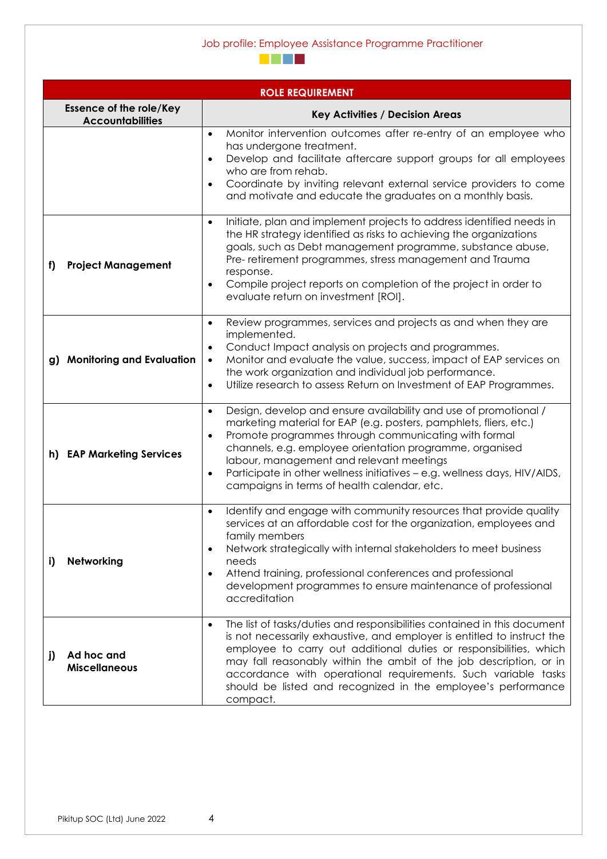#### Job profile: Employee Assistance Programme Practitioner



| <b>ROLE REQUIREMENT</b>                                   |                                                                                                                                                                                                                                                                                                                                                                                                                                                                           |  |  |
|-----------------------------------------------------------|---------------------------------------------------------------------------------------------------------------------------------------------------------------------------------------------------------------------------------------------------------------------------------------------------------------------------------------------------------------------------------------------------------------------------------------------------------------------------|--|--|
| <b>Essence of the role/Key</b><br><b>Accountabilities</b> | <b>Key Activities / Decision Areas</b>                                                                                                                                                                                                                                                                                                                                                                                                                                    |  |  |
|                                                           | Monitor intervention outcomes after re-entry of an employee who<br>$\bullet$<br>has undergone treatment.<br>Develop and facilitate aftercare support groups for all employees<br>who are from rehab.<br>Coordinate by inviting relevant external service providers to come<br>$\bullet$<br>and motivate and educate the graduates on a monthly basis.                                                                                                                     |  |  |
| <b>Project Management</b><br>f)                           | Initiate, plan and implement projects to address identified needs in<br>$\bullet$<br>the HR strategy identified as risks to achieving the organizations<br>goals, such as Debt management programme, substance abuse,<br>Pre- retirement programmes, stress management and Trauma<br>response.<br>Compile project reports on completion of the project in order to<br>$\bullet$<br>evaluate return on investment [ROI].                                                   |  |  |
| g) Monitoring and Evaluation                              | Review programmes, services and projects as and when they are<br>$\bullet$<br>implemented.<br>Conduct Impact analysis on projects and programmes.<br>Monitor and evaluate the value, success, impact of EAP services on<br>$\bullet$<br>the work organization and individual job performance.<br>Utilize research to assess Return on Investment of EAP Programmes.<br>$\bullet$                                                                                          |  |  |
| h) EAP Marketing Services                                 | Design, develop and ensure availability and use of promotional /<br>$\bullet$<br>marketing material for EAP (e.g. posters, pamphlets, fliers, etc.)<br>Promote programmes through communicating with formal<br>$\bullet$<br>channels, e.g. employee orientation programme, organised<br>labour, management and relevant meetings<br>Participate in other wellness initiatives - e.g. wellness days, HIV/AIDS,<br>$\bullet$<br>campaigns in terms of health calendar, etc. |  |  |
| Networking<br>i)                                          | Identify and engage with community resources that provide quality<br>$\bullet$<br>services at an affordable cost for the organization, employees and<br>family members<br>Network strategically with internal stakeholders to meet business<br>$\bullet$<br>needs<br>Attend training, professional conferences and professional<br>$\bullet$<br>development programmes to ensure maintenance of professional<br>accreditation                                             |  |  |
| Ad hoc and<br>j)<br><b>Miscellaneous</b>                  | The list of tasks/duties and responsibilities contained in this document<br>$\bullet$<br>is not necessarily exhaustive, and employer is entitled to instruct the<br>employee to carry out additional duties or responsibilities, which<br>may fall reasonably within the ambit of the job description, or in<br>accordance with operational requirements. Such variable tasks<br>should be listed and recognized in the employee's performance<br>compact.                |  |  |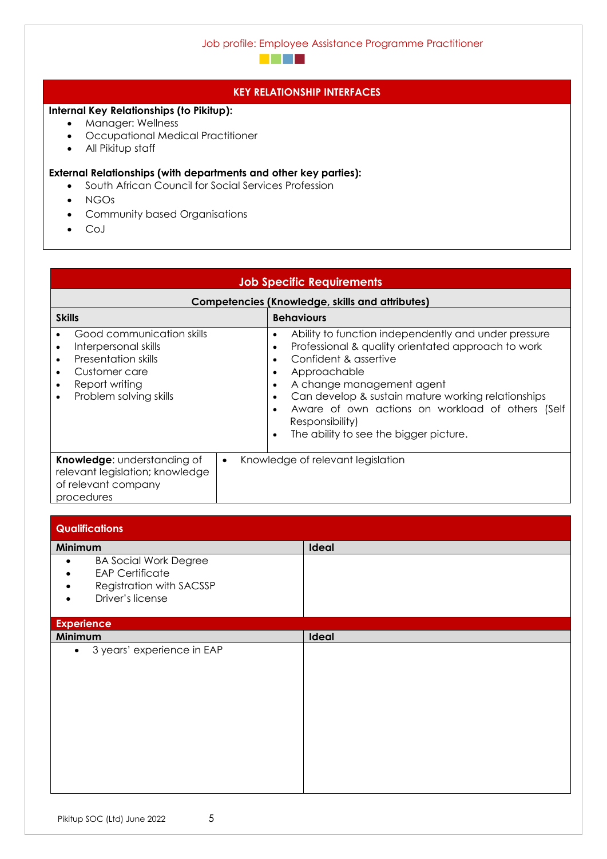

#### **KEY RELATIONSHIP INTERFACES**

### **Internal Key Relationships (to Pikitup):**

- Manager: Wellness
- Occupational Medical Practitioner
- All Pikitup staff

#### **External Relationships (with departments and other key parties):**

- South African Council for Social Services Profession
- NGOs
- Community based Organisations
- CoJ

## **Job Specific Requirements**

| Competencies (Knowledge, skills and attributes)                                                                                                           |                                                                                                                                                                                                                                                                                                                                                                                                         |  |  |  |
|-----------------------------------------------------------------------------------------------------------------------------------------------------------|---------------------------------------------------------------------------------------------------------------------------------------------------------------------------------------------------------------------------------------------------------------------------------------------------------------------------------------------------------------------------------------------------------|--|--|--|
| <b>Skills</b>                                                                                                                                             | <b>Behaviours</b>                                                                                                                                                                                                                                                                                                                                                                                       |  |  |  |
| Good communication skills<br>Interpersonal skills<br><b>Presentation skills</b><br>Customer care<br>Report writing<br>$\bullet$<br>Problem solving skills | Ability to function independently and under pressure<br>٠<br>Professional & quality orientated approach to work<br>٠<br>Confident & assertive<br>٠<br>Approachable<br>٠<br>A change management agent<br>٠<br>Can develop & sustain mature working relationships<br>٠<br>Aware of own actions on workload of others (Self<br>$\bullet$<br>Responsibility)<br>The ability to see the bigger picture.<br>٠ |  |  |  |
| <b>Knowledge:</b> understanding of<br>relevant legislation; knowledge<br>of relevant company<br>procedures                                                | Knowledge of relevant legislation                                                                                                                                                                                                                                                                                                                                                                       |  |  |  |

| <b>Qualifications</b>                                                                                               |       |
|---------------------------------------------------------------------------------------------------------------------|-------|
| Minimum                                                                                                             | Ideal |
| <b>BA Social Work Degree</b><br>$\bullet$<br><b>EAP Certificate</b><br>Registration with SACSSP<br>Driver's license |       |
| <b>Experience</b>                                                                                                   |       |
| Minimum                                                                                                             | Ideal |
| 3 years' experience in EAP<br>$\bullet$                                                                             |       |